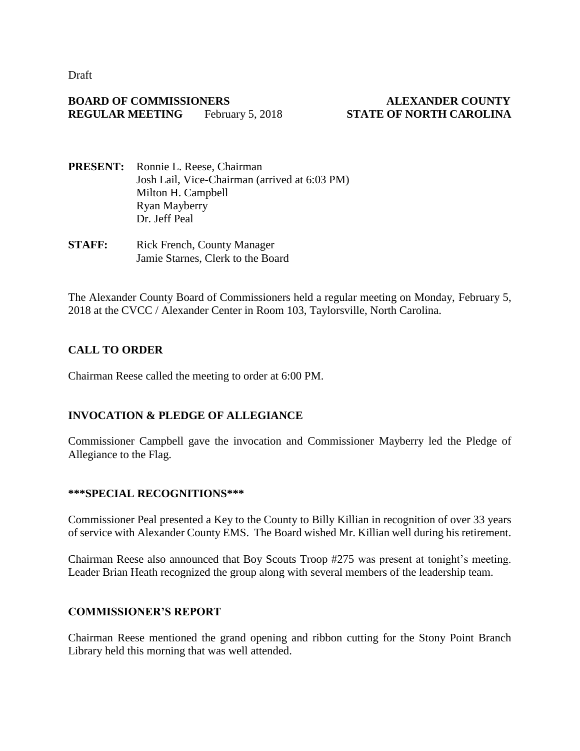Draft

#### **BOARD OF COMMISSIONERS ALEXANDER COUNTY REGULAR MEETING** February 5, 2018 **STATE OF NORTH CAROLINA**

- **PRESENT:** Ronnie L. Reese, Chairman Josh Lail, Vice-Chairman (arrived at 6:03 PM) Milton H. Campbell Ryan Mayberry Dr. Jeff Peal
- **STAFF:** Rick French, County Manager Jamie Starnes, Clerk to the Board

The Alexander County Board of Commissioners held a regular meeting on Monday, February 5, 2018 at the CVCC / Alexander Center in Room 103, Taylorsville, North Carolina.

# **CALL TO ORDER**

Chairman Reese called the meeting to order at 6:00 PM.

## **INVOCATION & PLEDGE OF ALLEGIANCE**

Commissioner Campbell gave the invocation and Commissioner Mayberry led the Pledge of Allegiance to the Flag.

#### **\*\*\*SPECIAL RECOGNITIONS\*\*\***

Commissioner Peal presented a Key to the County to Billy Killian in recognition of over 33 years of service with Alexander County EMS. The Board wished Mr. Killian well during his retirement.

Chairman Reese also announced that Boy Scouts Troop #275 was present at tonight's meeting. Leader Brian Heath recognized the group along with several members of the leadership team.

## **COMMISSIONER'S REPORT**

Chairman Reese mentioned the grand opening and ribbon cutting for the Stony Point Branch Library held this morning that was well attended.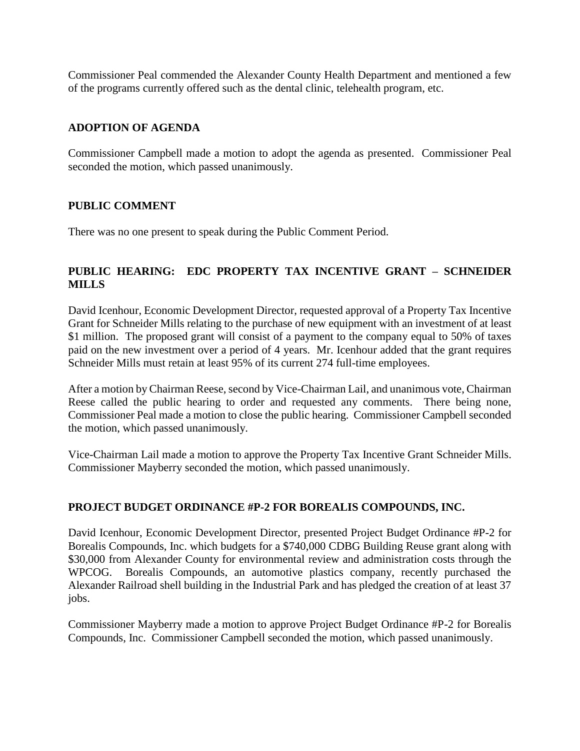Commissioner Peal commended the Alexander County Health Department and mentioned a few of the programs currently offered such as the dental clinic, telehealth program, etc.

#### **ADOPTION OF AGENDA**

Commissioner Campbell made a motion to adopt the agenda as presented. Commissioner Peal seconded the motion, which passed unanimously.

#### **PUBLIC COMMENT**

There was no one present to speak during the Public Comment Period.

## **PUBLIC HEARING: EDC PROPERTY TAX INCENTIVE GRANT – SCHNEIDER MILLS**

David Icenhour, Economic Development Director, requested approval of a Property Tax Incentive Grant for Schneider Mills relating to the purchase of new equipment with an investment of at least \$1 million. The proposed grant will consist of a payment to the company equal to 50% of taxes paid on the new investment over a period of 4 years. Mr. Icenhour added that the grant requires Schneider Mills must retain at least 95% of its current 274 full-time employees.

After a motion by Chairman Reese, second by Vice-Chairman Lail, and unanimous vote, Chairman Reese called the public hearing to order and requested any comments. There being none, Commissioner Peal made a motion to close the public hearing. Commissioner Campbell seconded the motion, which passed unanimously.

Vice-Chairman Lail made a motion to approve the Property Tax Incentive Grant Schneider Mills. Commissioner Mayberry seconded the motion, which passed unanimously.

#### **PROJECT BUDGET ORDINANCE #P-2 FOR BOREALIS COMPOUNDS, INC.**

David Icenhour, Economic Development Director, presented Project Budget Ordinance #P-2 for Borealis Compounds, Inc. which budgets for a \$740,000 CDBG Building Reuse grant along with \$30,000 from Alexander County for environmental review and administration costs through the WPCOG. Borealis Compounds, an automotive plastics company, recently purchased the Alexander Railroad shell building in the Industrial Park and has pledged the creation of at least 37 jobs.

Commissioner Mayberry made a motion to approve Project Budget Ordinance #P-2 for Borealis Compounds, Inc. Commissioner Campbell seconded the motion, which passed unanimously.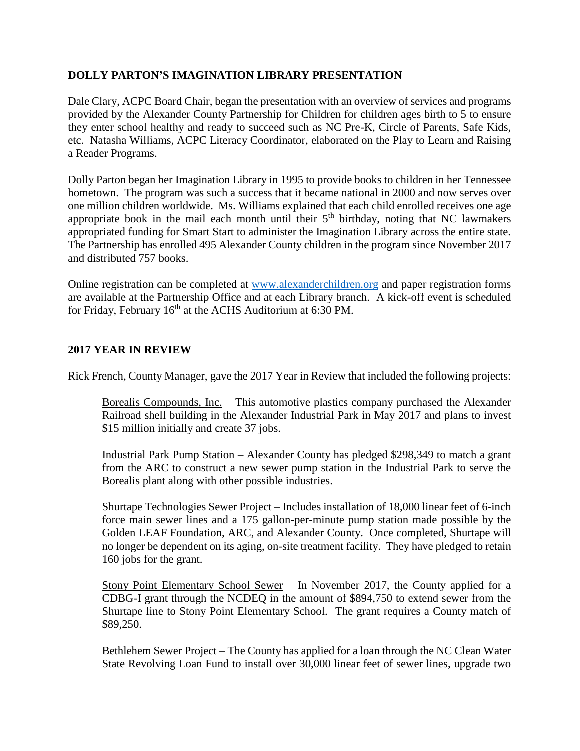## **DOLLY PARTON'S IMAGINATION LIBRARY PRESENTATION**

Dale Clary, ACPC Board Chair, began the presentation with an overview of services and programs provided by the Alexander County Partnership for Children for children ages birth to 5 to ensure they enter school healthy and ready to succeed such as NC Pre-K, Circle of Parents, Safe Kids, etc. Natasha Williams, ACPC Literacy Coordinator, elaborated on the Play to Learn and Raising a Reader Programs.

Dolly Parton began her Imagination Library in 1995 to provide books to children in her Tennessee hometown. The program was such a success that it became national in 2000 and now serves over one million children worldwide. Ms. Williams explained that each child enrolled receives one age appropriate book in the mail each month until their  $5<sup>th</sup>$  birthday, noting that NC lawmakers appropriated funding for Smart Start to administer the Imagination Library across the entire state. The Partnership has enrolled 495 Alexander County children in the program since November 2017 and distributed 757 books.

Online registration can be completed at [www.alexanderchildren.org](http://www.alexanderchildren.org/) and paper registration forms are available at the Partnership Office and at each Library branch. A kick-off event is scheduled for Friday, February  $16<sup>th</sup>$  at the ACHS Auditorium at 6:30 PM.

#### **2017 YEAR IN REVIEW**

Rick French, County Manager, gave the 2017 Year in Review that included the following projects:

Borealis Compounds, <u>Inc.</u> – This automotive plastics company purchased the Alexander Railroad shell building in the Alexander Industrial Park in May 2017 and plans to invest \$15 million initially and create 37 jobs.

Industrial Park Pump Station – Alexander County has pledged \$298,349 to match a grant from the ARC to construct a new sewer pump station in the Industrial Park to serve the Borealis plant along with other possible industries.

Shurtape Technologies Sewer Project – Includes installation of 18,000 linear feet of 6-inch force main sewer lines and a 175 gallon-per-minute pump station made possible by the Golden LEAF Foundation, ARC, and Alexander County. Once completed, Shurtape will no longer be dependent on its aging, on-site treatment facility. They have pledged to retain 160 jobs for the grant.

Stony Point Elementary School Sewer – In November 2017, the County applied for a CDBG-I grant through the NCDEQ in the amount of \$894,750 to extend sewer from the Shurtape line to Stony Point Elementary School. The grant requires a County match of \$89,250.

Bethlehem Sewer Project – The County has applied for a loan through the NC Clean Water State Revolving Loan Fund to install over 30,000 linear feet of sewer lines, upgrade two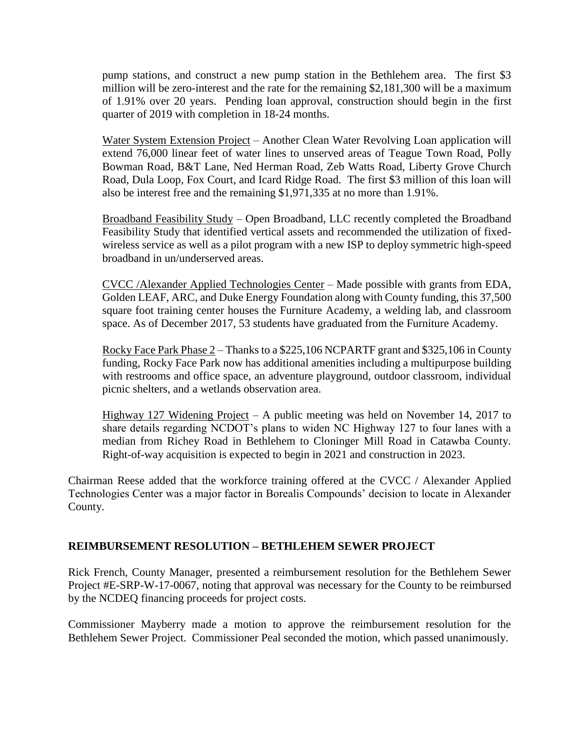pump stations, and construct a new pump station in the Bethlehem area. The first \$3 million will be zero-interest and the rate for the remaining \$2,181,300 will be a maximum of 1.91% over 20 years. Pending loan approval, construction should begin in the first quarter of 2019 with completion in 18-24 months.

Water System Extension Project – Another Clean Water Revolving Loan application will extend 76,000 linear feet of water lines to unserved areas of Teague Town Road, Polly Bowman Road, B&T Lane, Ned Herman Road, Zeb Watts Road, Liberty Grove Church Road, Dula Loop, Fox Court, and Icard Ridge Road. The first \$3 million of this loan will also be interest free and the remaining \$1,971,335 at no more than 1.91%.

Broadband Feasibility Study – Open Broadband, LLC recently completed the Broadband Feasibility Study that identified vertical assets and recommended the utilization of fixedwireless service as well as a pilot program with a new ISP to deploy symmetric high-speed broadband in un/underserved areas.

CVCC /Alexander Applied Technologies Center – Made possible with grants from EDA, Golden LEAF, ARC, and Duke Energy Foundation along with County funding, this 37,500 square foot training center houses the Furniture Academy, a welding lab, and classroom space. As of December 2017, 53 students have graduated from the Furniture Academy.

Rocky Face Park Phase 2 – Thanks to a \$225,106 NCPARTF grant and \$325,106 in County funding, Rocky Face Park now has additional amenities including a multipurpose building with restrooms and office space, an adventure playground, outdoor classroom, individual picnic shelters, and a wetlands observation area.

Highway 127 Widening Project – A public meeting was held on November 14, 2017 to share details regarding NCDOT's plans to widen NC Highway 127 to four lanes with a median from Richey Road in Bethlehem to Cloninger Mill Road in Catawba County. Right-of-way acquisition is expected to begin in 2021 and construction in 2023.

Chairman Reese added that the workforce training offered at the CVCC / Alexander Applied Technologies Center was a major factor in Borealis Compounds' decision to locate in Alexander County.

## **REIMBURSEMENT RESOLUTION – BETHLEHEM SEWER PROJECT**

Rick French, County Manager, presented a reimbursement resolution for the Bethlehem Sewer Project #E-SRP-W-17-0067, noting that approval was necessary for the County to be reimbursed by the NCDEQ financing proceeds for project costs.

Commissioner Mayberry made a motion to approve the reimbursement resolution for the Bethlehem Sewer Project. Commissioner Peal seconded the motion, which passed unanimously.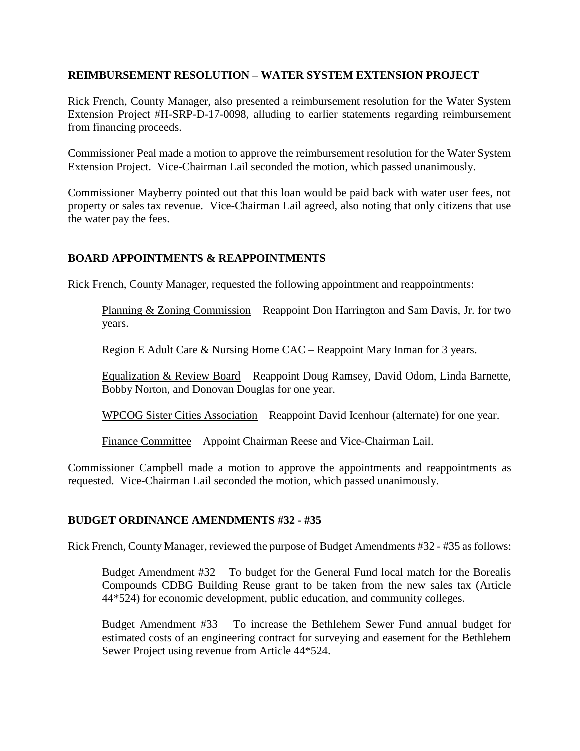#### **REIMBURSEMENT RESOLUTION – WATER SYSTEM EXTENSION PROJECT**

Rick French, County Manager, also presented a reimbursement resolution for the Water System Extension Project #H-SRP-D-17-0098, alluding to earlier statements regarding reimbursement from financing proceeds.

Commissioner Peal made a motion to approve the reimbursement resolution for the Water System Extension Project. Vice-Chairman Lail seconded the motion, which passed unanimously.

Commissioner Mayberry pointed out that this loan would be paid back with water user fees, not property or sales tax revenue. Vice-Chairman Lail agreed, also noting that only citizens that use the water pay the fees.

## **BOARD APPOINTMENTS & REAPPOINTMENTS**

Rick French, County Manager, requested the following appointment and reappointments:

Planning & Zoning Commission – Reappoint Don Harrington and Sam Davis, Jr. for two years.

Region E Adult Care & Nursing Home CAC – Reappoint Mary Inman for 3 years.

Equalization & Review Board – Reappoint Doug Ramsey, David Odom, Linda Barnette, Bobby Norton, and Donovan Douglas for one year.

WPCOG Sister Cities Association – Reappoint David Icenhour (alternate) for one year.

Finance Committee – Appoint Chairman Reese and Vice-Chairman Lail.

Commissioner Campbell made a motion to approve the appointments and reappointments as requested. Vice-Chairman Lail seconded the motion, which passed unanimously.

## **BUDGET ORDINANCE AMENDMENTS #32 - #35**

Rick French, County Manager, reviewed the purpose of Budget Amendments #32 - #35 as follows:

Budget Amendment #32 – To budget for the General Fund local match for the Borealis Compounds CDBG Building Reuse grant to be taken from the new sales tax (Article 44\*524) for economic development, public education, and community colleges.

Budget Amendment #33 – To increase the Bethlehem Sewer Fund annual budget for estimated costs of an engineering contract for surveying and easement for the Bethlehem Sewer Project using revenue from Article 44\*524.